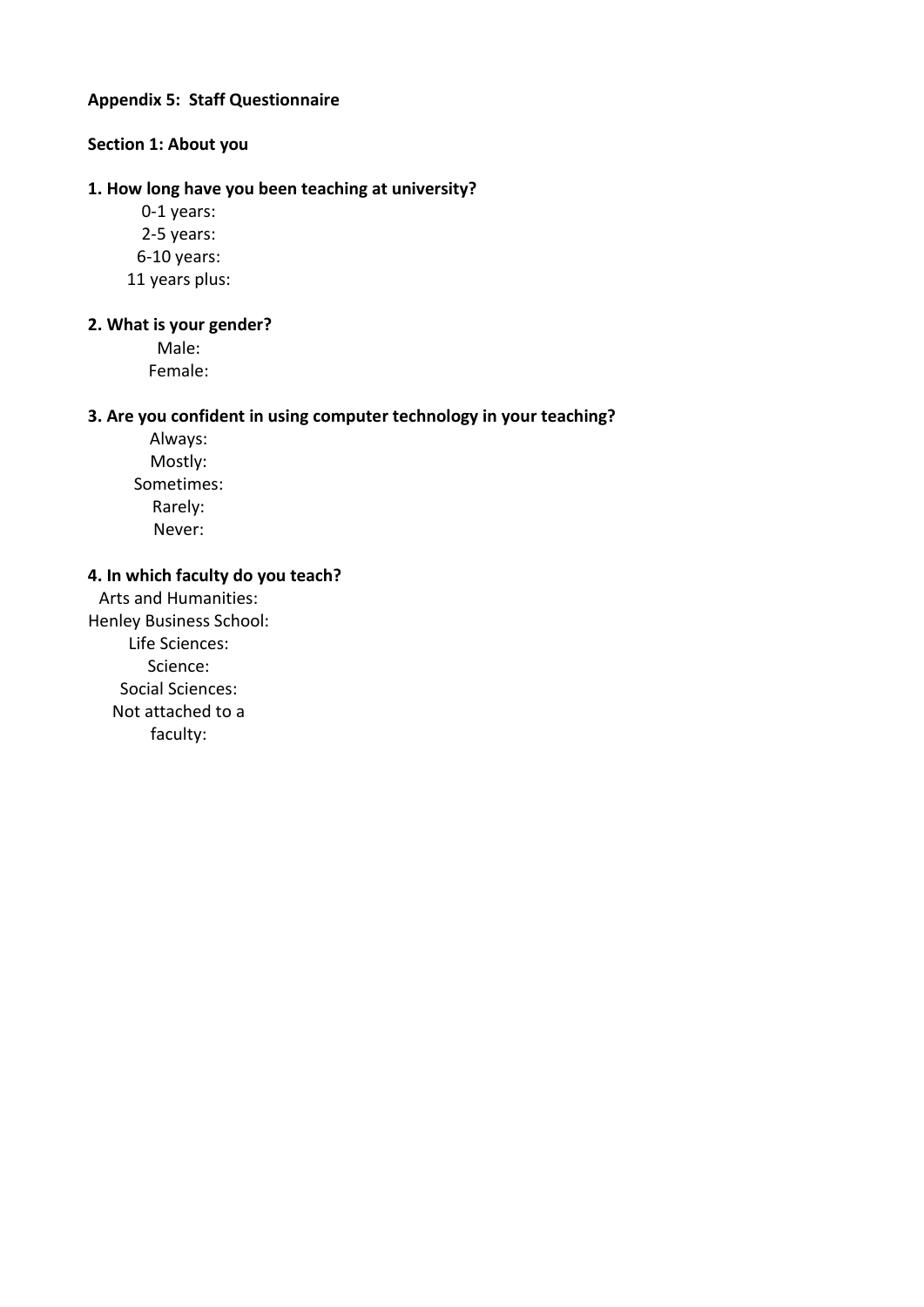## **Appendix 5: Staff Questionnaire**

# **Section 1: About you**

#### **1. How long have you been teaching at university?**

0-1 years: 2-5 years: 6-10 years: 11 years plus:

#### **2. What is your gender?**

Male: Female:

#### **3. Are you confident in using computer technology in your teaching?**

Always: Mostly: Sometimes: Rarely: Never:

# **4. In which faculty do you teach?**

Arts and Humanities: Henley Business School: Life Sciences: Science: Social Sciences: Not attached to a faculty: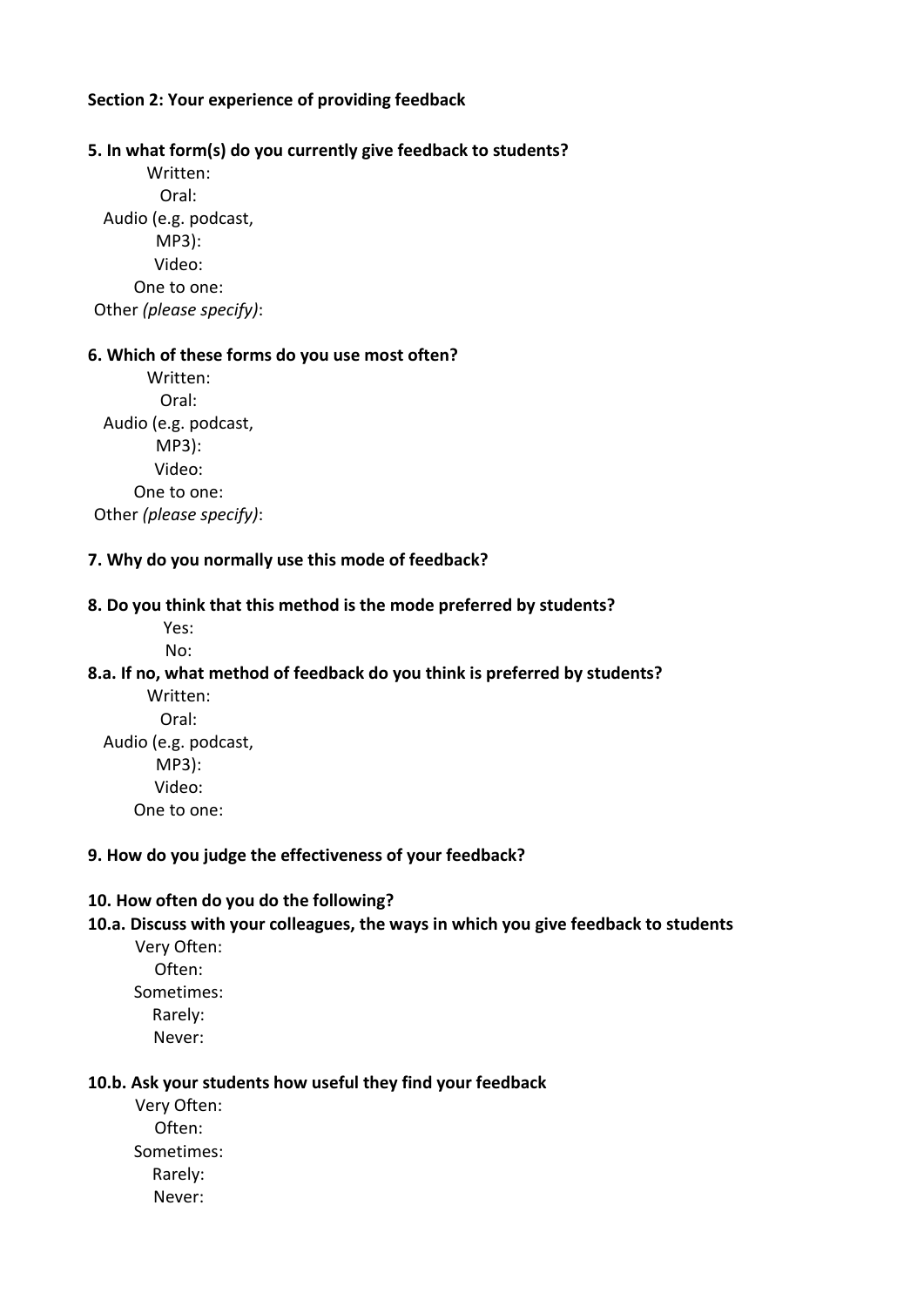# **Section 2: Your experience of providing feedback**

# **5. In what form(s) do you currently give feedback to students?**

Written: Oral: Audio (e.g. podcast, MP3): Video: One to one: Other *(please specify)*:

#### **6. Which of these forms do you use most often?**

Written: Oral: Audio (e.g. podcast, MP3): Video: One to one: Other *(please specify)*:

## **7. Why do you normally use this mode of feedback?**

#### **8. Do you think that this method is the mode preferred by students?**

Yes: No:

## **8.a. If no, what method of feedback do you think is preferred by students?**

Written: Oral: Audio (e.g. podcast, MP3): Video: One to one:

#### **9. How do you judge the effectiveness of your feedback?**

## **10. How often do you do the following?**

#### **10.a. Discuss with your colleagues, the ways in which you give feedback to students**

Very Often: Often: Sometimes: Rarely: Never:

## **10.b. Ask your students how useful they find your feedback**

Very Often: Often: Sometimes: Rarely: Never: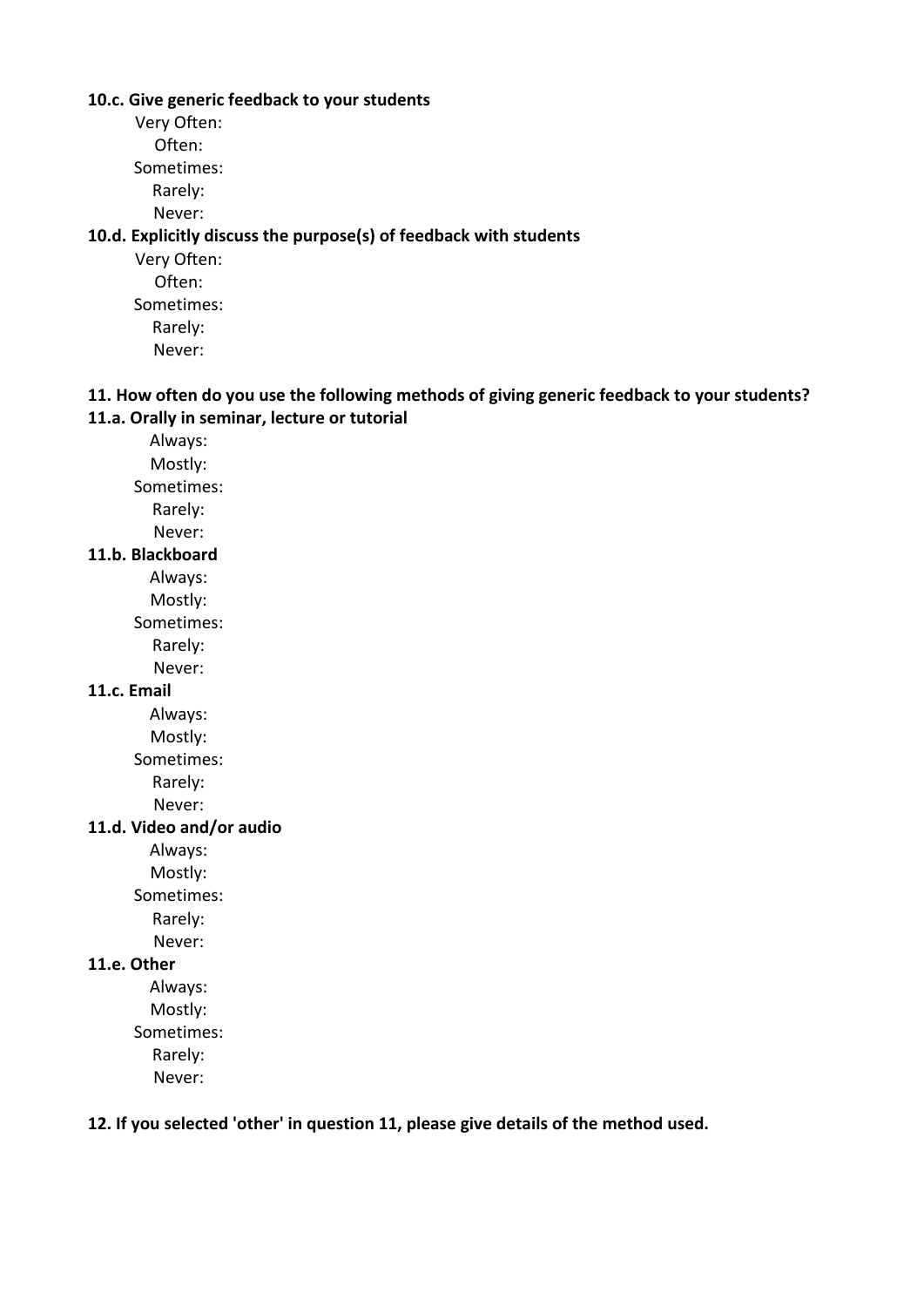#### **10.c. Give generic feedback to your students**

Very Often:

Often: Sometimes:

Rarely:

Never:

# **10.d. Explicitly discuss the purpose(s) of feedback with students**

Very Often: Often: Sometimes: Rarely: Never:

# **11. How often do you use the following methods of giving generic feedback to your students? 11.a. Orally in seminar, lecture or tutorial**

Always: Mostly:

Sometimes:

Rarely:

Never:

# **11.b. Blackboard**

Always:

Mostly:

Sometimes:

Rarely:

Never:

# **11.c. Email**

Always:

Mostly:

Sometimes:

Rarely:

Never:

# **11.d. Video and/or audio**

Always:

Mostly:

Sometimes:

Rarely:

Never:

# **11.e. Other**

Always: Mostly:

Sometimes:

Rarely:

Never:

## **12. If you selected 'other' in question 11, please give details of the method used.**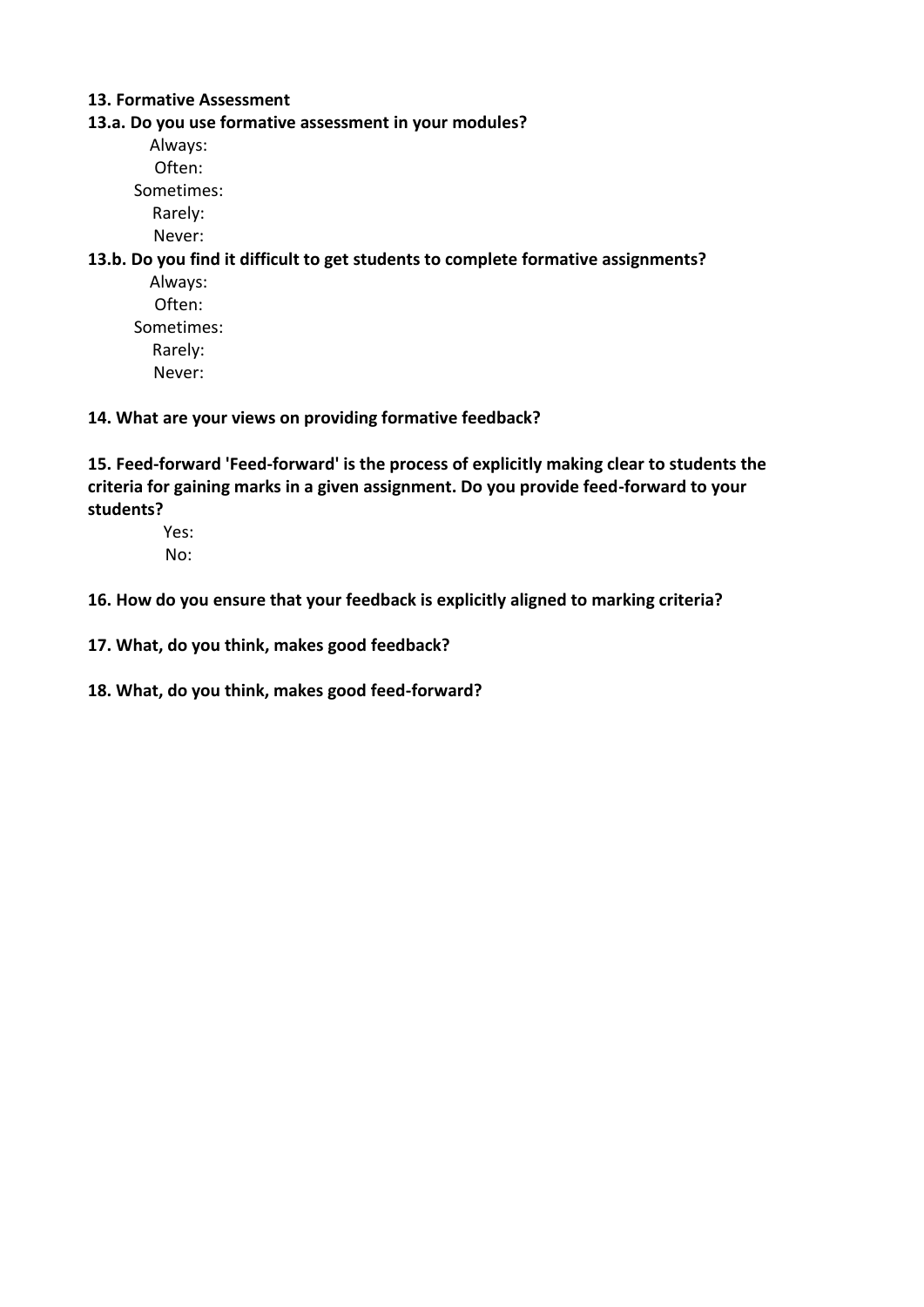## **13. Formative Assessment**

#### **13.a. Do you use formative assessment in your modules?**

Always: Often: Sometimes: Rarely:

Never:

## **13.b. Do you find it difficult to get students to complete formative assignments?**

Always: Often: Sometimes: Rarely: Never:

#### **14. What are your views on providing formative feedback?**

**15. Feed-forward 'Feed-forward' is the process of explicitly making clear to students the criteria for gaining marks in a given assignment. Do you provide feed-forward to your students?**

Yes:

No:

#### **16. How do you ensure that your feedback is explicitly aligned to marking criteria?**

- **17. What, do you think, makes good feedback?**
- **18. What, do you think, makes good feed-forward?**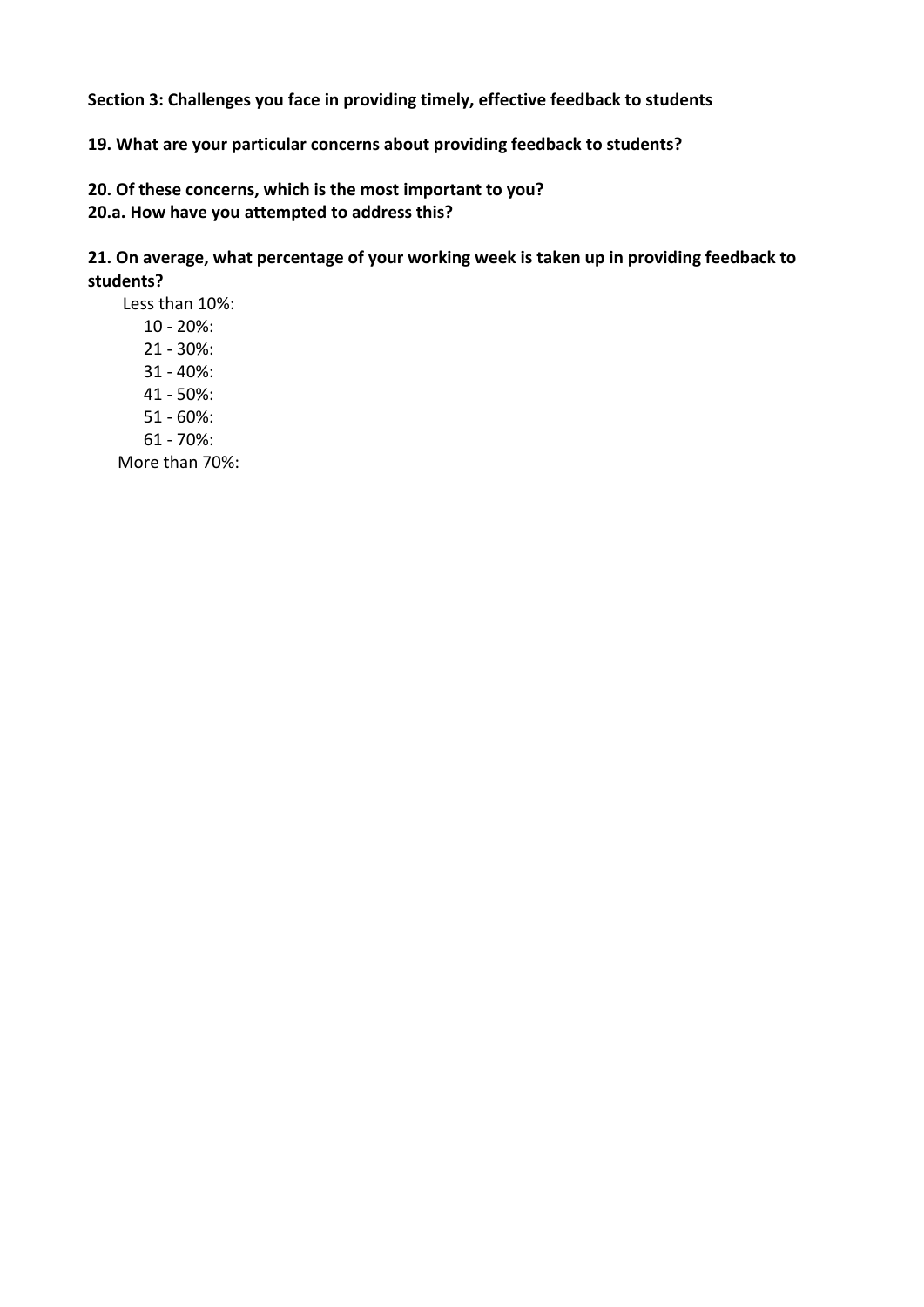**Section 3: Challenges you face in providing timely, effective feedback to students**

**19. What are your particular concerns about providing feedback to students?**

**20. Of these concerns, which is the most important to you? 20.a. How have you attempted to address this?**

**21. On average, what percentage of your working week is taken up in providing feedback to students?**

Less than 10%: 10 - 20%: 21 - 30%: 31 - 40%: 41 - 50%: 51 - 60%: 61 - 70%: More than 70%: